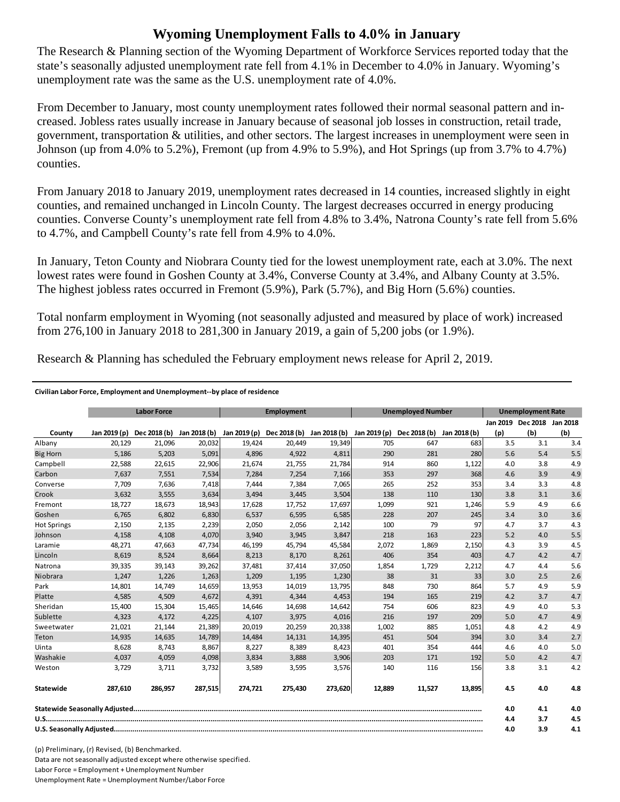## **Wyoming Unemployment Falls to 4.0% in January**

The Research & Planning section of the Wyoming Department of Workforce Services reported today that the state's seasonally adjusted unemployment rate fell from 4.1% in December to 4.0% in January. Wyoming's unemployment rate was the same as the U.S. unemployment rate of 4.0%.

From December to January, most county unemployment rates followed their normal seasonal pattern and increased. Jobless rates usually increase in January because of seasonal job losses in construction, retail trade, government, transportation & utilities, and other sectors. The largest increases in unemployment were seen in Johnson (up from 4.0% to 5.2%), Fremont (up from 4.9% to 5.9%), and Hot Springs (up from 3.7% to 4.7%) counties.

From January 2018 to January 2019, unemployment rates decreased in 14 counties, increased slightly in eight counties, and remained unchanged in Lincoln County. The largest decreases occurred in energy producing counties. Converse County's unemployment rate fell from 4.8% to 3.4%, Natrona County's rate fell from 5.6% to 4.7%, and Campbell County's rate fell from 4.9% to 4.0%.

In January, Teton County and Niobrara County tied for the lowest unemployment rate, each at 3.0%. The next lowest rates were found in Goshen County at 3.4%, Converse County at 3.4%, and Albany County at 3.5%. The highest jobless rates occurred in Fremont (5.9%), Park (5.7%), and Big Horn (5.6%) counties.

Total nonfarm employment in Wyoming (not seasonally adjusted and measured by place of work) increased from 276,100 in January 2018 to 281,300 in January 2019, a gain of 5,200 jobs (or 1.9%).

Research & Planning has scheduled the February employment news release for April 2, 2019.

## **Civilian Labor Force, Employment and Unemployment‐‐by place of residence**

|                    | <b>Labor Force</b><br><b>Employment</b><br><b>Unemployed Number</b> |         |         |         | <b>Unemployment Rate</b>                                                                   |         |        |        |              |          |                   |     |
|--------------------|---------------------------------------------------------------------|---------|---------|---------|--------------------------------------------------------------------------------------------|---------|--------|--------|--------------|----------|-------------------|-----|
|                    |                                                                     |         |         |         |                                                                                            |         |        |        |              | Jan 2019 | Dec 2018 Jan 2018 |     |
| County             | Jan 2019 (p)                                                        |         |         |         | Dec 2018 (b) Jan 2018 (b) Jan 2019 (p) Dec 2018 (b) Jan 2018 (b) Jan 2019 (p) Dec 2018 (b) |         |        |        | Jan 2018 (b) | (p)      | (b)               | (b) |
| Albany             | 20,129                                                              | 21,096  | 20,032  | 19,424  | 20,449                                                                                     | 19,349  | 705    | 647    | 683          | 3.5      | 3.1               | 3.4 |
| <b>Big Horn</b>    | 5,186                                                               | 5,203   | 5,091   | 4,896   | 4,922                                                                                      | 4,811   | 290    | 281    | 280          | 5.6      | 5.4               | 5.5 |
| Campbell           | 22,588                                                              | 22,615  | 22,906  | 21,674  | 21,755                                                                                     | 21,784  | 914    | 860    | 1,122        | 4.0      | 3.8               | 4.9 |
| Carbon             | 7.637                                                               | 7,551   | 7,534   | 7.284   | 7,254                                                                                      | 7,166   | 353    | 297    | 368          | 4.6      | 3.9               | 4.9 |
| Converse           | 7,709                                                               | 7,636   | 7,418   | 7,444   | 7,384                                                                                      | 7,065   | 265    | 252    | 353          | 3.4      | 3.3               | 4.8 |
| Crook              | 3.632                                                               | 3,555   | 3,634   | 3.494   | 3.445                                                                                      | 3,504   | 138    | 110    | 130          | 3.8      | 3.1               | 3.6 |
| Fremont            | 18,727                                                              | 18,673  | 18,943  | 17,628  | 17,752                                                                                     | 17,697  | 1,099  | 921    | 1,246        | 5.9      | 4.9               | 6.6 |
| Goshen             | 6,765                                                               | 6,802   | 6,830   | 6,537   | 6,595                                                                                      | 6,585   | 228    | 207    | 245          | 3.4      | 3.0               | 3.6 |
| <b>Hot Springs</b> | 2,150                                                               | 2,135   | 2,239   | 2,050   | 2,056                                                                                      | 2,142   | 100    | 79     | 97           | 4.7      | 3.7               | 4.3 |
| Johnson            | 4,158                                                               | 4,108   | 4,070   | 3,940   | 3,945                                                                                      | 3,847   | 218    | 163    | 223          | 5.2      | 4.0               | 5.5 |
| Laramie            | 48,271                                                              | 47,663  | 47,734  | 46,199  | 45,794                                                                                     | 45,584  | 2,072  | 1,869  | 2,150        | 4.3      | 3.9               | 4.5 |
| Lincoln            | 8,619                                                               | 8,524   | 8,664   | 8,213   | 8,170                                                                                      | 8,261   | 406    | 354    | 403          | 4.7      | 4.2               | 4.7 |
| Natrona            | 39,335                                                              | 39,143  | 39,262  | 37,481  | 37,414                                                                                     | 37,050  | 1,854  | 1,729  | 2,212        | 4.7      | 4.4               | 5.6 |
| Niobrara           | 1,247                                                               | 1,226   | 1,263   | 1,209   | 1,195                                                                                      | 1,230   | 38     | 31     | 33           | 3.0      | 2.5               | 2.6 |
| Park               | 14,801                                                              | 14,749  | 14,659  | 13,953  | 14,019                                                                                     | 13,795  | 848    | 730    | 864          | 5.7      | 4.9               | 5.9 |
| Platte             | 4,585                                                               | 4,509   | 4,672   | 4,391   | 4,344                                                                                      | 4,453   | 194    | 165    | 219          | 4.2      | 3.7               | 4.7 |
| Sheridan           | 15,400                                                              | 15,304  | 15,465  | 14,646  | 14,698                                                                                     | 14,642  | 754    | 606    | 823          | 4.9      | 4.0               | 5.3 |
| Sublette           | 4,323                                                               | 4,172   | 4,225   | 4,107   | 3,975                                                                                      | 4,016   | 216    | 197    | 209          | 5.0      | 4.7               | 4.9 |
| Sweetwater         | 21,021                                                              | 21,144  | 21,389  | 20,019  | 20,259                                                                                     | 20,338  | 1,002  | 885    | 1,051        | 4.8      | 4.2               | 4.9 |
| Teton              | 14,935                                                              | 14,635  | 14,789  | 14.484  | 14,131                                                                                     | 14,395  | 451    | 504    | 394          | 3.0      | 3.4               | 2.7 |
| Uinta              | 8,628                                                               | 8,743   | 8,867   | 8,227   | 8,389                                                                                      | 8,423   | 401    | 354    | 444          | 4.6      | 4.0               | 5.0 |
| Washakie           | 4.037                                                               | 4.059   | 4,098   | 3.834   | 3.888                                                                                      | 3,906   | 203    | 171    | 192          | 5.0      | 4.2               | 4.7 |
| Weston             | 3,729                                                               | 3,711   | 3,732   | 3,589   | 3,595                                                                                      | 3,576   | 140    | 116    | 156          | 3.8      | 3.1               | 4.2 |
| <b>Statewide</b>   | 287.610                                                             | 286.957 | 287,515 | 274,721 | 275.430                                                                                    | 273,620 | 12.889 | 11,527 | 13,895       | 4.5      | 4.0               | 4.8 |
|                    |                                                                     |         |         |         |                                                                                            |         |        | 4.0    | 4.1          | 4.0      |                   |     |
|                    |                                                                     |         |         |         |                                                                                            |         |        | 4.4    | 3.7          | 4.5      |                   |     |
|                    |                                                                     |         |         |         |                                                                                            |         | 4.0    | 3.9    | 4.1          |          |                   |     |

(p) Preliminary, (r) Revised, (b) Benchmarked. Data are not seasonally adjusted except where otherwise specified. Labor Force = Employment + Unemployment Number Unemployment Rate = Unemployment Number/Labor Force